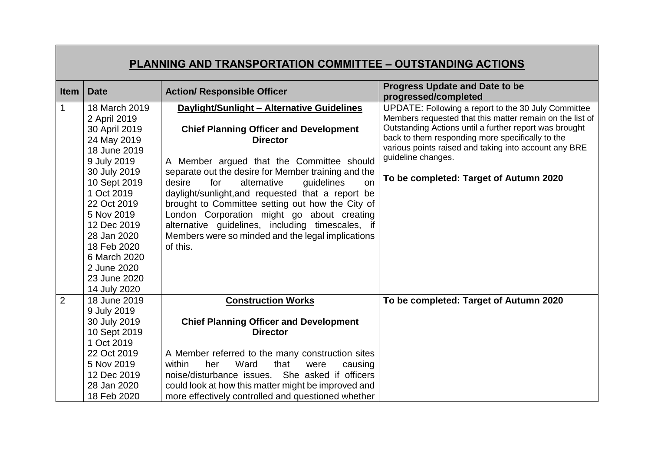| PLANNING AND TRANSPORTATION COMMITTEE - OUTSTANDING ACTIONS |                             |                                                                                                     |                                                                                                            |  |  |  |
|-------------------------------------------------------------|-----------------------------|-----------------------------------------------------------------------------------------------------|------------------------------------------------------------------------------------------------------------|--|--|--|
| <b>Item</b>                                                 | <b>Date</b>                 | <b>Action/ Responsible Officer</b>                                                                  | <b>Progress Update and Date to be</b><br>progressed/completed                                              |  |  |  |
| $\mathbf{1}$                                                | 18 March 2019               | Daylight/Sunlight - Alternative Guidelines                                                          | UPDATE: Following a report to the 30 July Committee                                                        |  |  |  |
|                                                             | 2 April 2019                |                                                                                                     | Members requested that this matter remain on the list of                                                   |  |  |  |
|                                                             | 30 April 2019               | <b>Chief Planning Officer and Development</b>                                                       | Outstanding Actions until a further report was brought<br>back to them responding more specifically to the |  |  |  |
|                                                             | 24 May 2019<br>18 June 2019 | <b>Director</b>                                                                                     | various points raised and taking into account any BRE                                                      |  |  |  |
|                                                             | 9 July 2019                 | A Member argued that the Committee should                                                           | guideline changes.                                                                                         |  |  |  |
|                                                             | 30 July 2019                | separate out the desire for Member training and the                                                 |                                                                                                            |  |  |  |
|                                                             | 10 Sept 2019                | for<br>desire<br>alternative<br>guidelines<br>on                                                    | To be completed: Target of Autumn 2020                                                                     |  |  |  |
|                                                             | 1 Oct 2019                  | daylight/sunlight, and requested that a report be                                                   |                                                                                                            |  |  |  |
|                                                             | 22 Oct 2019                 | brought to Committee setting out how the City of                                                    |                                                                                                            |  |  |  |
|                                                             | 5 Nov 2019                  | London Corporation might go about creating                                                          |                                                                                                            |  |  |  |
|                                                             | 12 Dec 2019                 | alternative guidelines, including timescales, if                                                    |                                                                                                            |  |  |  |
|                                                             | 28 Jan 2020                 | Members were so minded and the legal implications                                                   |                                                                                                            |  |  |  |
|                                                             | 18 Feb 2020<br>6 March 2020 | of this.                                                                                            |                                                                                                            |  |  |  |
|                                                             | 2 June 2020                 |                                                                                                     |                                                                                                            |  |  |  |
|                                                             | 23 June 2020                |                                                                                                     |                                                                                                            |  |  |  |
|                                                             | 14 July 2020                |                                                                                                     |                                                                                                            |  |  |  |
| 2                                                           | 18 June 2019                | <b>Construction Works</b>                                                                           | To be completed: Target of Autumn 2020                                                                     |  |  |  |
|                                                             | 9 July 2019                 |                                                                                                     |                                                                                                            |  |  |  |
|                                                             | 30 July 2019                | <b>Chief Planning Officer and Development</b>                                                       |                                                                                                            |  |  |  |
|                                                             | 10 Sept 2019                | <b>Director</b>                                                                                     |                                                                                                            |  |  |  |
|                                                             | 1 Oct 2019                  |                                                                                                     |                                                                                                            |  |  |  |
|                                                             | 22 Oct 2019                 | A Member referred to the many construction sites                                                    |                                                                                                            |  |  |  |
|                                                             | 5 Nov 2019<br>12 Dec 2019   | within<br>Ward<br>that<br>her<br>causing<br>were<br>noise/disturbance issues. She asked if officers |                                                                                                            |  |  |  |
|                                                             | 28 Jan 2020                 | could look at how this matter might be improved and                                                 |                                                                                                            |  |  |  |
|                                                             | 18 Feb 2020                 | more effectively controlled and questioned whether                                                  |                                                                                                            |  |  |  |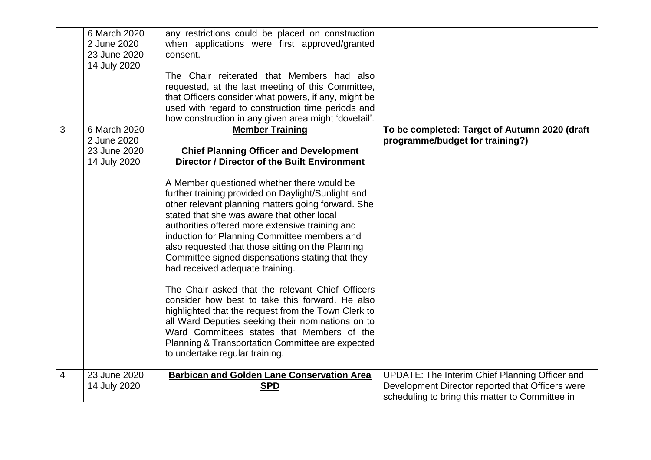|   | 6 March 2020 | any restrictions could be placed on construction     |                                                  |
|---|--------------|------------------------------------------------------|--------------------------------------------------|
|   | 2 June 2020  | when applications were first approved/granted        |                                                  |
|   | 23 June 2020 | consent.                                             |                                                  |
|   | 14 July 2020 |                                                      |                                                  |
|   |              | The Chair reiterated that Members had also           |                                                  |
|   |              | requested, at the last meeting of this Committee,    |                                                  |
|   |              | that Officers consider what powers, if any, might be |                                                  |
|   |              | used with regard to construction time periods and    |                                                  |
|   |              | how construction in any given area might 'dovetail'. |                                                  |
| 3 | 6 March 2020 | <b>Member Training</b>                               | To be completed: Target of Autumn 2020 (draft    |
|   | 2 June 2020  |                                                      | programme/budget for training?)                  |
|   | 23 June 2020 | <b>Chief Planning Officer and Development</b>        |                                                  |
|   | 14 July 2020 | <b>Director / Director of the Built Environment</b>  |                                                  |
|   |              |                                                      |                                                  |
|   |              | A Member questioned whether there would be           |                                                  |
|   |              | further training provided on Daylight/Sunlight and   |                                                  |
|   |              | other relevant planning matters going forward. She   |                                                  |
|   |              | stated that she was aware that other local           |                                                  |
|   |              | authorities offered more extensive training and      |                                                  |
|   |              | induction for Planning Committee members and         |                                                  |
|   |              | also requested that those sitting on the Planning    |                                                  |
|   |              | Committee signed dispensations stating that they     |                                                  |
|   |              | had received adequate training.                      |                                                  |
|   |              |                                                      |                                                  |
|   |              | The Chair asked that the relevant Chief Officers     |                                                  |
|   |              | consider how best to take this forward. He also      |                                                  |
|   |              | highlighted that the request from the Town Clerk to  |                                                  |
|   |              | all Ward Deputies seeking their nominations on to    |                                                  |
|   |              | Ward Committees states that Members of the           |                                                  |
|   |              | Planning & Transportation Committee are expected     |                                                  |
|   |              | to undertake regular training.                       |                                                  |
|   |              |                                                      |                                                  |
| 4 | 23 June 2020 | <b>Barbican and Golden Lane Conservation Area</b>    | UPDATE: The Interim Chief Planning Officer and   |
|   | 14 July 2020 | <u>SPD</u>                                           | Development Director reported that Officers were |
|   |              |                                                      | scheduling to bring this matter to Committee in  |